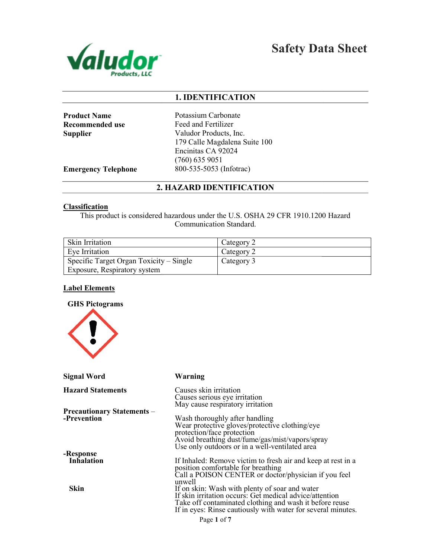

Safety Data Sheet

## 1. IDENTIFICATION

Product Name Recommended use **Supplier** 

Potassium Carbonate Feed and Fertilizer Valudor Products, Inc. 179 Calle Magdalena Suite 100 Encinitas CA 92024 (760) 635 9051 800-535-5053 (Infotrac)

Emergency Telephone

2. HAZARD IDENTIFICATION

### **Classification**

This product is considered hazardous under the U.S. OSHA 29 CFR 1910.1200 Hazard Communication Standard.

| <b>Skin Irritation</b>                  | Category 2 |
|-----------------------------------------|------------|
| Eve Irritation                          | Category 2 |
| Specific Target Organ Toxicity – Single | Category 3 |
| Exposure, Respiratory system            |            |

## Label Elements



| <b>Signal Word</b>                               | Warning                                                                                                                                                                                                                              |
|--------------------------------------------------|--------------------------------------------------------------------------------------------------------------------------------------------------------------------------------------------------------------------------------------|
| <b>Hazard Statements</b>                         | Causes skin irritation                                                                                                                                                                                                               |
|                                                  | Causes serious eye irritation<br>May cause respiratory irritation                                                                                                                                                                    |
| <b>Precautionary Statements –</b><br>-Prevention | Wash thoroughly after handling<br>Wear protective gloves/protective clothing/eye<br>protection/face protection<br>Avoid breathing dust/fume/gas/mist/vapors/spray                                                                    |
| -Response                                        | Use only outdoors or in a well-ventilated area                                                                                                                                                                                       |
| <b>Inhalation</b>                                | If Inhaled: Remove victim to fresh air and keep at rest in a<br>position comfortable for breathing<br>Call a POISON CENTER or doctor/physician if you feel<br>unwell                                                                 |
| Skin                                             | If on skin: Wash with plenty of soar and water<br>If skin irritation occurs: Get medical advice/attention<br>Take off contaminated clothing and wash it before reuse<br>If in eyes: Rinse cautiously with water for several minutes. |
|                                                  | n 1 C.                                                                                                                                                                                                                               |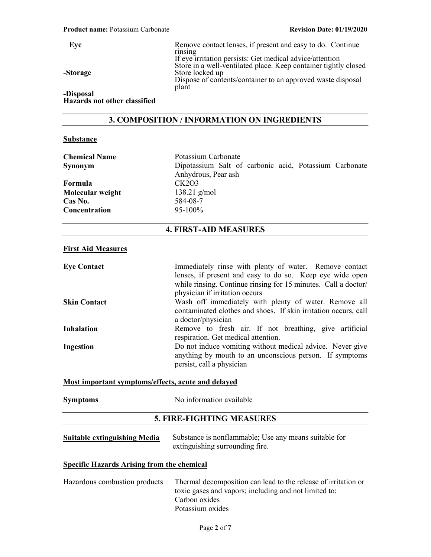| Eve       | Remove contact lenses, if present and easy to do. Continue<br>rinsing<br>If eye irritation persists: Get medical advice/attention                 |
|-----------|---------------------------------------------------------------------------------------------------------------------------------------------------|
| -Storage  | Store in a well-ventilated place. Keep container tightly closed<br>Store locked up<br>Dispose of contents/container to an approved waste disposal |
| -Disposal | plant                                                                                                                                             |

Hazards not other classified

## 3. COMPOSITION / INFORMATION ON INGREDIENTS

### **Substance**

| <b>Chemical Name</b><br>Synonym<br>Formula<br>Molecular weight<br>Cas No.<br>Concentration | Potassium Carbonate<br>Dipotassium Salt of carbonic acid, Potassium Carbonate<br>Anhydrous, Pear ash<br>CK2O3<br>138.21 $g/mol$<br>584-08-7<br>95-100%                                                                 |
|--------------------------------------------------------------------------------------------|------------------------------------------------------------------------------------------------------------------------------------------------------------------------------------------------------------------------|
|                                                                                            | <b>4. FIRST-AID MEASURES</b>                                                                                                                                                                                           |
| <b>First Aid Measures</b>                                                                  |                                                                                                                                                                                                                        |
| <b>Eye Contact</b>                                                                         | Immediately rinse with plenty of water. Remove contact<br>lenses, if present and easy to do so. Keep eye wide open<br>while rinsing. Continue rinsing for 15 minutes. Call a doctor/<br>physician if irritation occurs |
| <b>Skin Contact</b>                                                                        | Wash off immediately with plenty of water. Remove all<br>contaminated clothes and shoes. If skin irritation occurs, call<br>a doctor/physician                                                                         |
| <b>Inhalation</b>                                                                          | Remove to fresh air. If not breathing, give artificial<br>respiration. Get medical attention.                                                                                                                          |
| <b>Ingestion</b>                                                                           | Do not induce vomiting without medical advice. Never give<br>anything by mouth to an unconscious person. If symptoms<br>persist, call a physician                                                                      |

### Most important symptoms/effects, acute and delayed

| <b>Symptoms</b> | No information available                       |
|-----------------|------------------------------------------------|
|                 | $\sim$ means measures a second contract $\sim$ |

## 5. FIRE-FIGHTING MEASURES

| <b>Suitable extinguishing Media</b> | Substance is nonflammable; Use any means suitable for |
|-------------------------------------|-------------------------------------------------------|
|                                     | extinguishing surrounding fire.                       |

## Specific Hazards Arising from the chemical

| Hazardous combustion products | Thermal decomposition can lead to the release of irritation or |
|-------------------------------|----------------------------------------------------------------|
|                               | toxic gases and vapors; including and not limited to:          |
|                               | Carbon oxides                                                  |
|                               | Potassium oxides                                               |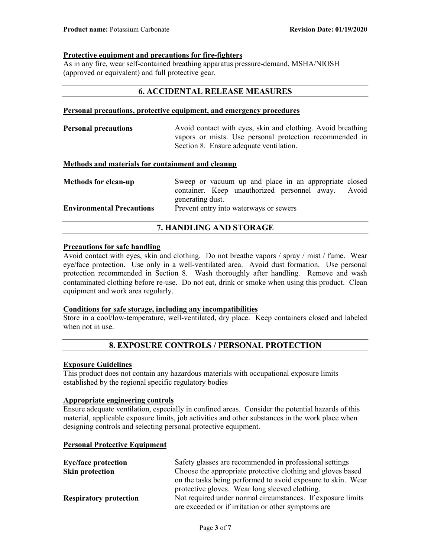### Protective equipment and precautions for fire-fighters

As in any fire, wear self-contained breathing apparatus pressure-demand, MSHA/NIOSH (approved or equivalent) and full protective gear.

## 6. ACCIDENTAL RELEASE MEASURES

### Personal precautions, protective equipment, and emergency procedures

| <b>Personal precautions</b> | Avoid contact with eyes, skin and clothing. Avoid breathing |  |
|-----------------------------|-------------------------------------------------------------|--|
|                             | vapors or mists. Use personal protection recommended in     |  |
|                             | Section 8. Ensure adequate ventilation.                     |  |
|                             |                                                             |  |

## Methods and materials for containment and cleanup

| <b>Methods for clean-up</b>      | Sweep or vacuum up and place in an appropriate closed |  |
|----------------------------------|-------------------------------------------------------|--|
|                                  | container. Keep unauthorized personnel away. Avoid    |  |
|                                  | generating dust.                                      |  |
| <b>Environmental Precautions</b> | Prevent entry into waterways or sewers                |  |

## 7. HANDLING AND STORAGE

### Precautions for safe handling

Avoid contact with eyes, skin and clothing. Do not breathe vapors / spray / mist / fume. Wear eye/face protection. Use only in a well-ventilated area. Avoid dust formation. Use personal protection recommended in Section 8. Wash thoroughly after handling. Remove and wash contaminated clothing before re-use. Do not eat, drink or smoke when using this product. Clean equipment and work area regularly.

### Conditions for safe storage, including any incompatibilities

Store in a cool/low-temperature, well-ventilated, dry place. Keep containers closed and labeled when not in use.

## 8. EXPOSURE CONTROLS / PERSONAL PROTECTION

### Exposure Guidelines

This product does not contain any hazardous materials with occupational exposure limits established by the regional specific regulatory bodies

### Appropriate engineering controls

Ensure adequate ventilation, especially in confined areas. Consider the potential hazards of this material, applicable exposure limits, job activities and other substances in the work place when designing controls and selecting personal protective equipment.

### Personal Protective Equipment

| <b>Eye/face protection</b>    | Safety glasses are recommended in professional settings      |  |
|-------------------------------|--------------------------------------------------------------|--|
| Skin protection               | Choose the appropriate protective clothing and gloves based  |  |
|                               | on the tasks being performed to avoid exposure to skin. Wear |  |
|                               | protective gloves. Wear long sleeved clothing.               |  |
| <b>Respiratory protection</b> | Not required under normal circumstances. If exposure limits  |  |
|                               | are exceeded or if irritation or other symptoms are          |  |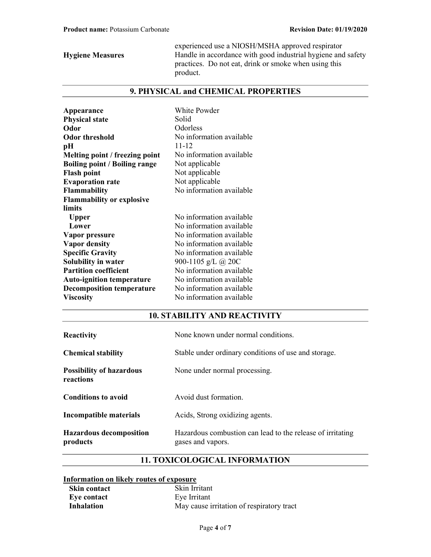experienced use a NIOSH/MSHA approved respirator Hygiene Measures Handle in accordance with good industrial hygiene and safety practices. Do not eat, drink or smoke when using this product.

# 9. PHYSICAL and CHEMICAL PROPERTIES

| Appearance<br><b>Physical state</b><br>Odor<br><b>Odor threshold</b><br>pН<br>Melting point / freezing point<br><b>Boiling point / Boiling range</b><br><b>Flash point</b><br><b>Evaporation rate</b><br><b>Flammability</b><br><b>Flammability or explosive</b> | White Powder<br>Solid<br>Odorless<br>No information available<br>$11 - 12$<br>No information available<br>Not applicable<br>Not applicable<br>Not applicable<br>No information available |
|------------------------------------------------------------------------------------------------------------------------------------------------------------------------------------------------------------------------------------------------------------------|------------------------------------------------------------------------------------------------------------------------------------------------------------------------------------------|
| limits                                                                                                                                                                                                                                                           |                                                                                                                                                                                          |
| <b>Upper</b>                                                                                                                                                                                                                                                     | No information available                                                                                                                                                                 |
| Lower                                                                                                                                                                                                                                                            | No information available                                                                                                                                                                 |
| Vapor pressure                                                                                                                                                                                                                                                   | No information available                                                                                                                                                                 |
| <b>Vapor density</b>                                                                                                                                                                                                                                             | No information available                                                                                                                                                                 |
| <b>Specific Gravity</b>                                                                                                                                                                                                                                          | No information available                                                                                                                                                                 |
| <b>Solubility in water</b>                                                                                                                                                                                                                                       | 900-1105 g/L @ 20C                                                                                                                                                                       |
| <b>Partition coefficient</b>                                                                                                                                                                                                                                     | No information available                                                                                                                                                                 |
| <b>Auto-ignition temperature</b>                                                                                                                                                                                                                                 | No information available                                                                                                                                                                 |
| <b>Decomposition temperature</b>                                                                                                                                                                                                                                 | No information available                                                                                                                                                                 |
| <b>Viscosity</b>                                                                                                                                                                                                                                                 | No information available                                                                                                                                                                 |

## 10. STABILITY AND REACTIVITY

| Reactivity                                   | None known under normal conditions.                                             |
|----------------------------------------------|---------------------------------------------------------------------------------|
| <b>Chemical stability</b>                    | Stable under ordinary conditions of use and storage.                            |
| <b>Possibility of hazardous</b><br>reactions | None under normal processing.                                                   |
| <b>Conditions to avoid</b>                   | Avoid dust formation.                                                           |
| Incompatible materials                       | Acids, Strong oxidizing agents.                                                 |
| <b>Hazardous decomposition</b><br>products   | Hazardous combustion can lead to the release of irritating<br>gases and vapors. |

# 11. TOXICOLOGICAL INFORMATION

## Information on likely routes of exposure

| <b>Skin contact</b> | Skin Irritant                             |
|---------------------|-------------------------------------------|
| Eve contact         | Eye Irritant                              |
| Inhalation          | May cause irritation of respiratory tract |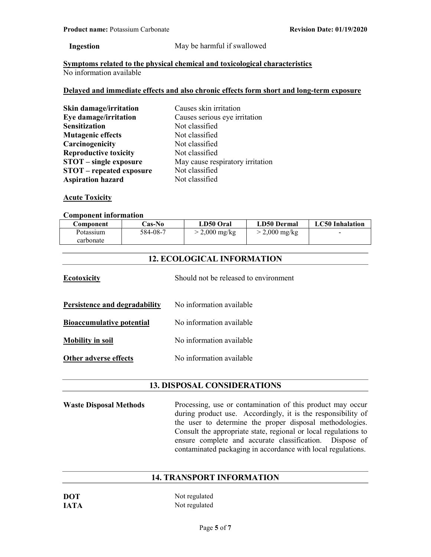### Ingestion May be harmful if swallowed

Symptoms related to the physical chemical and toxicological characteristics No information available

### Delayed and immediate effects and also chronic effects form short and long-term exposure

| Skin damage/irritation          | Causes skin irritation           |  |
|---------------------------------|----------------------------------|--|
| Eye damage/irritation           | Causes serious eye irritation    |  |
| <b>Sensitization</b>            | Not classified                   |  |
| <b>Mutagenic effects</b>        | Not classified                   |  |
| Carcinogenicity                 | Not classified                   |  |
| <b>Reproductive toxicity</b>    | Not classified                   |  |
| <b>STOT</b> – single exposure   | May cause respiratory irritation |  |
| <b>STOT</b> – repeated exposure | Not classified                   |  |
| <b>Aspiration hazard</b>        | Not classified                   |  |

## **Acute Toxicity**

### Component information

| Component | Cas-No   | LD50 Oral               | LD50 Dermal     | <b>LC50</b> Inhalation |
|-----------|----------|-------------------------|-----------------|------------------------|
| Potassium | 584-08-7 | $> 2,000 \text{ mg/kg}$ | $>$ 2,000 mg/kg | -                      |
| carbonate |          |                         |                 |                        |

## 12. ECOLOGICAL INFORMATION

| <b>Ecotoxicity</b>               | Should not be released to environment |
|----------------------------------|---------------------------------------|
| Persistence and degradability    | No information available              |
| <b>Bioaccumulative potential</b> | No information available              |
| <b>Mobility in soil</b>          | No information available              |
| Other adverse effects            | No information available              |

## 13. DISPOSAL CONSIDERATIONS

Waste Disposal Methods Processing, use or contamination of this product may occur during product use. Accordingly, it is the responsibility of the user to determine the proper disposal methodologies. Consult the appropriate state, regional or local regulations to ensure complete and accurate classification. Dispose of contaminated packaging in accordance with local regulations.

## 14. TRANSPORT INFORMATION

| <b>DOT</b>  | Not regulated |
|-------------|---------------|
| <b>JATA</b> | Not regulated |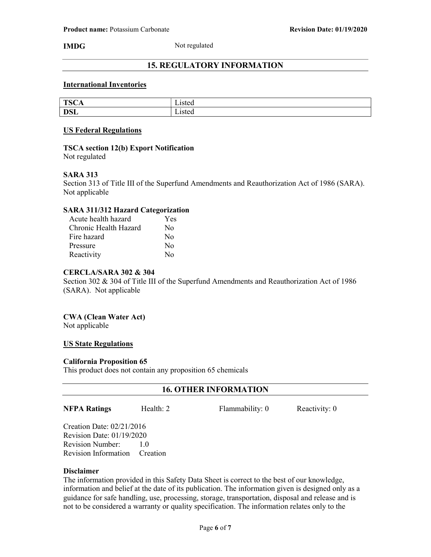IMDG Not regulated

## 15. REGULATORY INFORMATION

### International Inventories

| T <sub>0</sub>        | - -    |
|-----------------------|--------|
| ۰.                    | 1010d  |
| LUCA                  | sicu   |
| DCI                   | 10ted  |
| <b>D</b> <sub>D</sub> | Listeu |

### US Federal Regulations

## TSCA section 12(b) Export Notification

Not regulated

### SARA 313

Section 313 of Title III of the Superfund Amendments and Reauthorization Act of 1986 (SARA). Not applicable

### SARA 311/312 Hazard Categorization

| Acute health hazard   | Yes                    |
|-----------------------|------------------------|
| Chronic Health Hazard | No                     |
| Fire hazard           | $\rm No$               |
| Pressure              | No                     |
| Reactivity            | $\mathbf{N}\mathbf{O}$ |

## CERCLA/SARA 302 & 304

Section 302 & 304 of Title III of the Superfund Amendments and Reauthorization Act of 1986 (SARA). Not applicable

## CWA (Clean Water Act)

Not applicable

### US State Regulations

### California Proposition 65

This product does not contain any proposition 65 chemicals

## 16. OTHER INFORMATION

**NFPA Ratings** Health: 2 Flammability: 0 Reactivity: 0

Creation Date: 02/21/2016 Revision Date: 01/19/2020 Revision Number: 1.0 Revision Information Creation

### Disclaimer

The information provided in this Safety Data Sheet is correct to the best of our knowledge, information and belief at the date of its publication. The information given is designed only as a guidance for safe handling, use, processing, storage, transportation, disposal and release and is not to be considered a warranty or quality specification. The information relates only to the